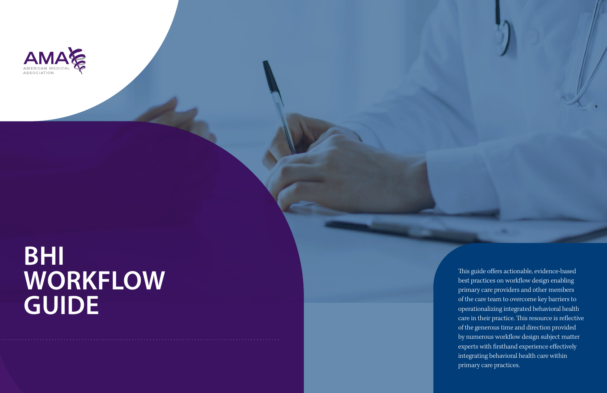

# **BHI WORKFLOW GUIDE**

This guide offers actionable, evidence-based best practices on workflow design enabling primary care providers and other members of the care team to overcome key barriers to operationalizing integrated behavioral health care in their practice. This resource is reflective of the generous time and direction provided by numerous workflow design subject matter experts with firsthand experience effectively integrating behavioral health care within primary care practices.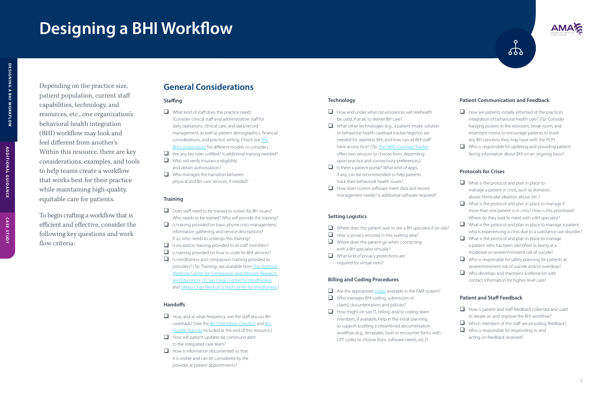# **Designing a BHI Workflow**

Depending on the practice size, patient population, current staff capabilities, technology, and resources, etc., one organization's behavioral health integration (BHI) workflow may look and feel different from another's. Within this resource, there are key considerations, examples, and tools to help teams create a workflow that works best for their practice while maintaining high-quality, equitable care for patients.

To begin crafting a workflow that is efficient and effective, consider the following key questions and work flow criteria:

#### **Technology**

- $\Box$  How and under what circumstances will telehealth be used, if at all, to deliver BH care?
- $\Box$  What other technologies (e.g., a patient intake solution or behavioral health caseload tracker/registry) are needed for seamless BHI, and how can all BHI staff have access to it? (*Tip*: [The AIMS Caseload Tracker](https://aims.uw.edu/registry-tools) offers two versions to choose from, depending upon practice and connectivity preferences.)
- $\Box$  Is there a patient portal? What kind of apps, if any, can be recommended to help patients track their behavioral health issues?
- $\Box$  How does current software meet data and record management needs? Is additional software required?

- $\Box$  Where does the patient wait to see a BH specialist if on-site?
- $\Box$  How is privacy ensured in this waiting area?
- $\Box$  Where does the patient go when connecting with a BH specialist virtually?
- $\Box$  What kind of privacy protections are required for virtual visits?

- $\Box$  Are the appropriate  $\overline{\text{codes}}$  $\overline{\text{codes}}$  $\overline{\text{codes}}$  available in the EMR system?
- $\Box$  Who manages BHI coding, submission of claims, documentation, and policies?
- $\Box$  How might on-site IT, billing, and/or coding team members, if available, help in the initial planning to support building a streamlined documentation workflow (e.g., templates, built-in encounter forms with CPT codes to choose from, software needs, etc.)?



 $\Box$  How are patients initially informed of the practice's integration of behavioral health care? (*Tip*: Consider hanging posters in the restroom, break room, and treatment rooms to encourage patients to share any BH concerns they may have with the PCP.)

 $\epsilon$ 

 $\Box$  Who is responsible for updating and providing patientfacing information about BHI on an ongoing basis?

#### **Setting Logistics**

#### **Billing and Coding Procedures**

- $\Box$  What is the protocol and plan in place to manage a patient in crisis, such as domestic abuse, homicidal ideation, abuse, etc.?
- $\Box$  What is the protocol and plan in place to manage if more than one patient is in crisis? How is this prioritized? Where do they wait to meet with a BH specialist?
- $\Box$  What is the protocol and plan in place to manage a patient who is experiencing a crisis due to a substance use disorder?
- $\Box$  What is the protocol and plan in place to manage a patient who has been identified as being at a moderate or severe/imminent risk of suicide?
- $\Box$  Who is responsible for safety planning for patients at severe/imminent risk of suicide and/or overdose?
- $\Box$  Who develops and maintains a referral list with contact information for higher-level care?

- $\Box$  How is patient and staff feedback collected and used to iterate on and improve the BHI workflow?
- $\Box$  Which members of the staff are providing feedback?
- $\Box$  Who is responsible for responding to and acting on feedback received?

#### **Patient Communication and Feedback**

- $\Box$  What kind of staff does the practice need? (Consider clinical staff and administrative staff for daily operations, clinical care, and data/record management, as well as patient demographics, financial considerations, and practice setting. Check out [The](https://bit.ly/3npQHtO)  [BHI Compendium](https://bit.ly/3npQHtO) for different models to consider.)
- $\Box$  Are any key roles unfilled? Is additional training needed?
- $\Box$  Who will verify insurance eligibility and obtain authorization?
- $\Box$  Who manages the transition between physical and BH care services, if needed?

- $\Box$  Does staff need to be trained to screen for BH issues? Who needs to be trained? Who will provide the training?
- $\Box$  Is training provided on basic phone crisis management, information gathering, and service descriptions? If so, who needs to undergo this training?
- $\Box$  Is escalation training provided to all staff members?
- $\Box$  Is training provided on how to code for BHI services?
- $\Box$  Is mindfulness and compassion training provided to providers? (*Tip*: Trainings are available from [The Stanford](http://ccare.stanford.edu/about/mission-vision/)  [Medicine Center for Compassion and Altruism Research](http://ccare.stanford.edu/about/mission-vision/)  [and Education,](http://ccare.stanford.edu/about/mission-vision/) [UC San Diego Center for Mindfulness,](https://medschool.ucsd.edu/som/fmph/research/mindfulness/Pages/default.aspx) and [UMass Chan Medical School Center for Mindfulness](https://www.umassmed.edu/psychiatry/education/mindfulphysicianleadershipprogram/general-mindfulness/).)

#### **Protocols for Crises**

- $\Box$  How, and at what frequency, will the staff discuss BH caseloads? (See the [BH Orientation Checklist](#page-3-0) and [BH](#page-3-0)  [Huddle Agenda](#page-3-0) included at the end of this resource.)
- $\Box$  How will patient updates be communicated to the integrated care team?
- $\Box$  How is information documented so that it is visible and can be considered by the provider at patient appointments?

#### **Patient and Staff Feedback**

## **General Considerations**

## **Staffing**

#### **Training**

#### **Handoffs**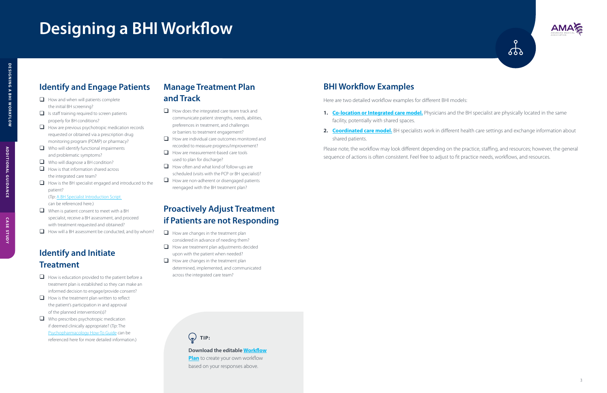# **Designing a BHI Workflow**

# **TIP:**

**Download the editable [Workflow](https://www.ama-assn.org/BHIworkflow-plan)** 

**[Plan](https://www.ama-assn.org/BHIworkflow-plan)** to create your own workflow based on your responses above.

# **Identify and Engage Patients**

- $\Box$  How and when will patients complete the initial BH screening?
- $\Box$  Is staff training required to screen patients properly for BH conditions?
- $\Box$  How are previous psychotropic medication records requested or obtained via a prescription drug monitoring program (PDMP) or pharmacy?
- $\Box$  Who will identify functional impairments and problematic symptoms?
- $\Box$  Who will diagnose a BH condition?
- $\Box$  How is that information shared across the integrated care team?
- $\Box$  How is the BH specialist engaged and introduced to the patient?

- $\Box$  How is education provided to the patient before a treatment plan is established so they can make an informed decision to engage/provide consent?
- $\Box$  How is the treatment plan written to reflect the patient's participation in and approval of the planned intervention(s)?
- $\Box$  Who prescribes psychotropic medication if deemed clinically appropriate? (*Tip*: The [Psychopharmacology How-To Guide](https://www.ama-assn.org/BHIpsychopharma) can be referenced here for more detailed information.)

(*Tip*: [A BH Specialist Introduction Script](#page-3-0)  can be referenced here.)

- $\Box$  When is patient consent to meet with a BH specialist, receive a BH assessment, and proceed with treatment requested and obtained?
- $\Box$  How will a BH assessment be conducted, and by whom?

# **Identify and Initiate Treatment**

- $\Box$  How does the integrated care team track and communicate patient strengths, needs, abilities, preferences in treatment, and challenges or barriers to treatment engagement?
- $\Box$  How are individual care outcomes monitored and recorded to measure progress/improvement?
- $\Box$  How are measurement-based care tools used to plan for discharge?
- $\Box$  How often and what kind of follow-ups are scheduled (visits with the PCP or BH specialist)?
- $\Box$  How are non-adherent or disengaged patients reengaged with the BH treatment plan?

- $\Box$  How are changes in the treatment plan considered in advance of needing them?
- $\Box$  How are treatment plan adjustments decided upon with the patient when needed?
- $\Box$  How are changes in the treatment plan determined, implemented, and communicated across the integrated care team?

# **Manage Treatment Plan and Track**

# **Proactively Adjust Treatment if Patients are not Responding**

# **BHI Workflow Examples**

Here are two detailed workflow examples for different BHI models:

- facility, potentially with shared spaces.
- shared patients.

Please note, the workflow may look different depending on the practice, staffing, and resources; however, the general sequence of actions is often consistent. Feel free to adjust to fit practice needs, workflows, and resources.

**ADDITIONAL GUIDANCE**

**ADDITIONAL GUIDANCE** 



**1.** [Co-location or Integrated care model.](https://bit.ly/3vOLhfP) Physicians and the BH specialist are physically located in the same

2. [Coordinated care model.](https://bit.ly/3EzjeEz) BH specialists work in different health care settings and exchange information about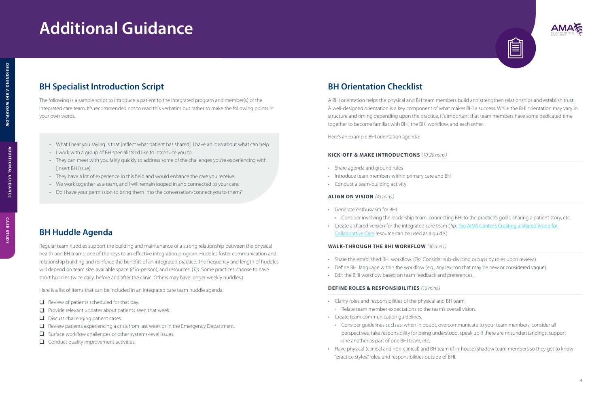# <span id="page-3-0"></span>**Additional Guidance**

- What I hear you saying is that [reflect what patient has shared]. I have an idea about what can help.
- I work with a group of BH specialists I'd like to introduce you to.
- They can meet with you fairly quickly to address some of the challenges you're experiencing with [insert BH issue].
- They have a lot of experience in this field and would enhance the care you receive.
- We work together as a team, and I will remain looped in and connected to your care.
- Do I have your permission to bring them into the conversation/connect you to them?

° Consider involving the leadership team, connecting BHI to the practice's goals, sharing a patient story, etc. • Create a shared version for the integrated care team (*Tip*: The AIMS Center's Creating a Shared Vision for

### **KICK-OFF & MAKE INTRODUCTIONS** *(10-20 mins.)*

- Share agenda and ground rules
- Introduce team members within primary care and BH
- Conduct a team-building activity

## **ALIGN ON VISION** *(45 mins.)*

- Generate enthusiasm for BHI:
- 
- [Collaborative Care](https://aims.uw.edu/sites/default/files/1%20Create%20a%20Shared%20Vision%20for%20CoCM_110120.pdf) resource can be used as a guide.)

## **WALK-THROUGH THE BHI WORKFLOW** *(30 mins.)*

- Share the established BHI workflow. (*Tip*: Consider sub-dividing groups by roles upon review.)
- 
- Edit the BHI workflow based on team feedback and preferences.

• Define BHI language within the workflow (e.g., any lexicon that may be new or considered vague).

#### **DEFINE ROLES & RESPONSIBILITIES** *(15 mins.)*

° Consider guidelines such as: when in doubt, overcommunicate to your team members, consider all perspectives, take responsibility for being understood, speak up if there are misunderstandings, support

- Clarify roles and responsibilities of the physical and BH team. ° Relate team member expectations to the team's overall vision.
- Create team communication guidelines.
- one another as part of one BHI team, etc.
- "practice styles," roles, and responsibilities outside of BHI.





# **ADDITIONAL GUIDANCE ADDITIONAL GUIDANCE**

• Have physical (clinical and non-clinical) and BH team (if in-house) shadow team members so they get to know

# **BH Specialist Introduction Script**

The following is a sample script to introduce a patient to the integrated program and member(s) of the integrated care team. It's recommended not to read this verbatim but rather to make the following points in your own words.

## **BH Huddle Agenda**

Regular team huddles support the building and maintenance of a strong relationship between the physical health and BH teams, one of the keys to an effective integration program. Huddles foster communication and relationship building and reinforce the benefits of an integrated practice. The frequency and length of huddles will depend on team size, available space (if in-person), and resources. (*Tip*: Some practices choose to have short huddles twice daily, before and after the clinic. Others may have longer weekly huddles.)

Here is a list of items that can be included in an integrated care team huddle agenda:

- $\Box$  Review of patients scheduled for that day.
- $\Box$  Provide relevant updates about patients seen that week.
- $\Box$  Discuss challenging patient cases.
- $\Box$  Review patients experiencing a crisis from last week or in the Emergency Department.
- $\Box$  Surface workflow challenges or other systems-level issues.
- $\Box$  Conduct quality improvement activities.

## **BH Orientation Checklist**

A BHI orientation helps the physical and BH team members build and strengthen relationships and establish trust. A well-designed orientation is a key component of what makes BHI a success. While the BHI orientation may vary in structure and timing depending upon the practice, it's important that team members have some dedicated time together to become familiar with BHI, the BHI workflow, and each other.

Here's an example BHI orientation agenda: